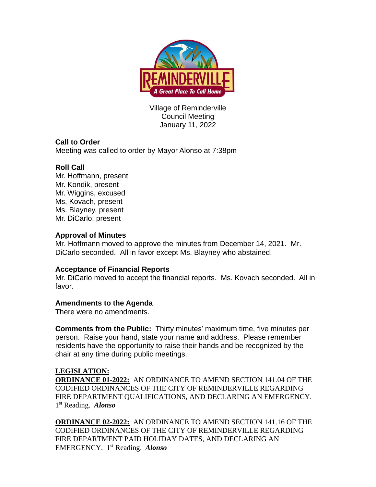

Village of Reminderville Council Meeting January 11, 2022

# **Call to Order**

Meeting was called to order by Mayor Alonso at 7:38pm

# **Roll Call**

Mr. Hoffmann, present Mr. Kondik, present Mr. Wiggins, excused Ms. Kovach, present Ms. Blayney, present Mr. DiCarlo, present

## **Approval of Minutes**

Mr. Hoffmann moved to approve the minutes from December 14, 2021. Mr. DiCarlo seconded. All in favor except Ms. Blayney who abstained.

## **Acceptance of Financial Reports**

Mr. DiCarlo moved to accept the financial reports. Ms. Kovach seconded. All in favor.

## **Amendments to the Agenda**

There were no amendments.

**Comments from the Public:** Thirty minutes' maximum time, five minutes per person. Raise your hand, state your name and address. Please remember residents have the opportunity to raise their hands and be recognized by the chair at any time during public meetings.

## **LEGISLATION:**

**ORDINANCE 01-2022:** AN ORDINANCE TO AMEND SECTION 141.04 OF THE CODIFIED ORDINANCES OF THE CITY OF REMINDERVILLE REGARDING FIRE DEPARTMENT QUALIFICATIONS, AND DECLARING AN EMERGENCY. 1 st Reading. *Alonso* 

**ORDINANCE 02-2022:** AN ORDINANCE TO AMEND SECTION 141.16 OF THE CODIFIED ORDINANCES OF THE CITY OF REMINDERVILLE REGARDING FIRE DEPARTMENT PAID HOLIDAY DATES, AND DECLARING AN EMERGENCY. 1 st Reading. *Alonso*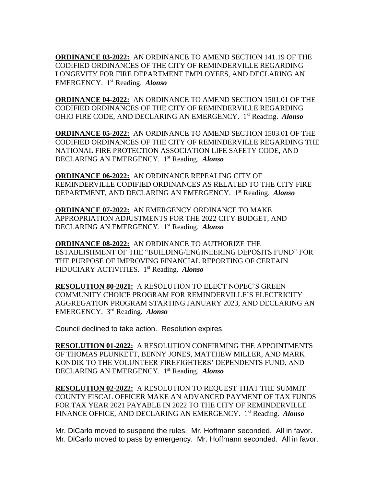**ORDINANCE 03-2022:** AN ORDINANCE TO AMEND SECTION 141.19 OF THE CODIFIED ORDINANCES OF THE CITY OF REMINDERVILLE REGARDING LONGEVITY FOR FIRE DEPARTMENT EMPLOYEES, AND DECLARING AN EMERGENCY. 1 st Reading. *Alonso* 

**ORDINANCE 04-2022:** AN ORDINANCE TO AMEND SECTION 1501.01 OF THE CODIFIED ORDINANCES OF THE CITY OF REMINDERVILLE REGARDING OHIO FIRE CODE, AND DECLARING AN EMERGENCY. 1 st Reading. *Alonso* 

**ORDINANCE 05-2022:** AN ORDINANCE TO AMEND SECTION 1503.01 OF THE CODIFIED ORDINANCES OF THE CITY OF REMINDERVILLE REGARDING THE NATIONAL FIRE PROTECTION ASSOCIATION LIFE SAFETY CODE, AND DECLARING AN EMERGENCY. 1 st Reading. *Alonso* 

**ORDINANCE 06-2022:** AN ORDINANCE REPEALING CITY OF REMINDERVILLE CODIFIED ORDINANCES AS RELATED TO THE CITY FIRE DEPARTMENT, AND DECLARING AN EMERGENCY. 1 st Reading. *Alonso* 

**ORDINANCE 07-2022:** AN EMERGENCY ORDINANCE TO MAKE APPROPRIATION ADJUSTMENTS FOR THE 2022 CITY BUDGET, AND DECLARING AN EMERGENCY. 1 st Reading. *Alonso*

**ORDINANCE 08-2022:** AN ORDINANCE TO AUTHORIZE THE ESTABLISHMENT OF THE "BUILDING/ENGINEERING DEPOSITS FUND" FOR THE PURPOSE OF IMPROVING FINANCIAL REPORTING OF CERTAIN FIDUCIARY ACTIVITIES. 1 st Reading. *Alonso* 

**RESOLUTION 80-2021:** A RESOLUTION TO ELECT NOPEC'S GREEN COMMUNITY CHOICE PROGRAM FOR REMINDERVILLE'S ELECTRICITY AGGREGATION PROGRAM STARTING JANUARY 2023, AND DECLARING AN EMERGENCY. 3 rd Reading. *Alonso*

Council declined to take action. Resolution expires.

**RESOLUTION 01-2022:** A RESOLUTION CONFIRMING THE APPOINTMENTS OF THOMAS PLUNKETT, BENNY JONES, MATTHEW MILLER, AND MARK KONDIK TO THE VOLUNTEER FIREFIGHTERS' DEPENDENTS FUND, AND DECLARING AN EMERGENCY. 1 st Reading. *Alonso* 

**RESOLUTION 02-2022:** A RESOLUTION TO REQUEST THAT THE SUMMIT COUNTY FISCAL OFFICER MAKE AN ADVANCED PAYMENT OF TAX FUNDS FOR TAX YEAR 2021 PAYABLE IN 2022 TO THE CITY OF REMINDERVILLE FINANCE OFFICE, AND DECLARING AN EMERGENCY. 1 st Reading. *Alonso*

Mr. DiCarlo moved to suspend the rules. Mr. Hoffmann seconded. All in favor. Mr. DiCarlo moved to pass by emergency. Mr. Hoffmann seconded. All in favor.